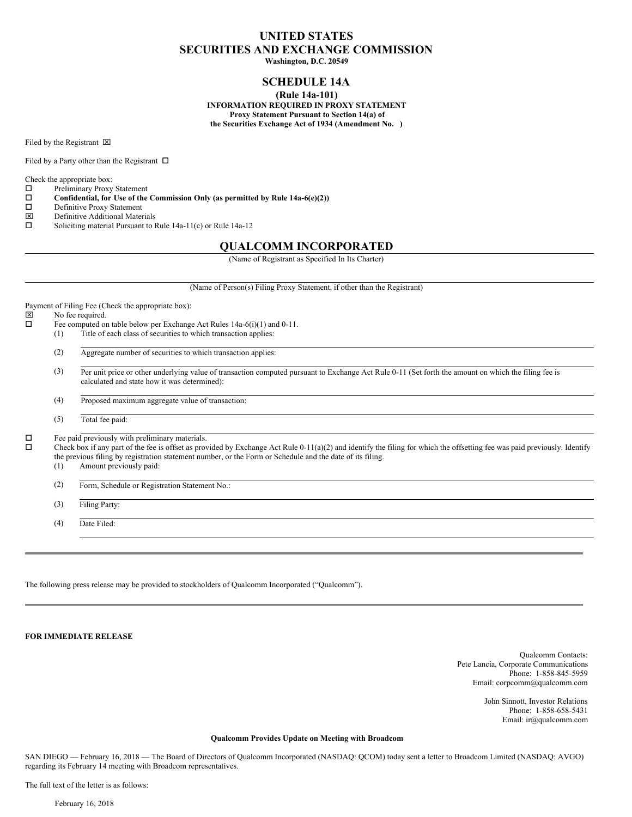# **UNITED STATES SECURITIES AND EXCHANGE COMMISSION**

**Washington, D.C. 20549**

## **SCHEDULE 14A**

**(Rule 14a-101)**

**INFORMATION REQUIRED IN PROXY STATEMENT Proxy Statement Pursuant to Section 14(a) of the Securities Exchange Act of 1934 (Amendment No. )**

Filed by the Registrant  $\boxtimes$ 

Filed by a Party other than the Registrant  $\Box$ 

Check the appropriate box:

o Preliminary Proxy Statement

o **Confidential, for Use of the Commission Only (as permitted by Rule 14a-6(e)(2))**

D Definitive Proxy Statement

x Definitive Additional Materials

 $\square$  Soliciting material Pursuant to Rule 14a-11(c) or Rule 14a-12

### **QUALCOMM INCORPORATED**

(Name of Registrant as Specified In Its Charter)

(Name of Person(s) Filing Proxy Statement, if other than the Registrant) Payment of Filing Fee (Check the appropriate box):  $\boxtimes$  No fee required.  $\Box$  Fee computed on table below per Exchange Act Rules 14a-6(i)(1) and 0-11. (1) Title of each class of securities to which transaction applies: (2) Aggregate number of securities to which transaction applies: (3) Per unit price or other underlying value of transaction computed pursuant to Exchange Act Rule 0-11 (Set forth the amount on which the filing fee is calculated and state how it was determined): (4) Proposed maximum aggregate value of transaction: (5) Total fee paid:  $\square$  Fee paid previously with preliminary materials.<br> $\square$  Check box if any part of the fee is offset as proo Check box if any part of the fee is offset as provided by Exchange Act Rule 0-11(a)(2) and identify the filing for which the offsetting fee was paid previously. Identify the previous filing by registration statement number, or the Form or Schedule and the date of its filing. (1) Amount previously paid: (2) Form, Schedule or Registration Statement No.: (3) Filing Party:

(4) Date Filed:

The following press release may be provided to stockholders of Qualcomm Incorporated ("Qualcomm").

**FOR IMMEDIATE RELEASE**

Qualcomm Contacts: Pete Lancia, Corporate Communications Phone: 1-858-845-5959 Email: corpcomm@qualcomm.com

> John Sinnott, Investor Relations Phone: 1-858-658-5431 Email: ir@qualcomm.com

#### **Qualcomm Provides Update on Meeting with Broadcom**

SAN DIEGO — February 16, 2018 — The Board of Directors of Qualcomm Incorporated (NASDAQ: QCOM) today sent a letter to Broadcom Limited (NASDAQ: AVGO) regarding its February 14 meeting with Broadcom representatives.

The full text of the letter is as follows: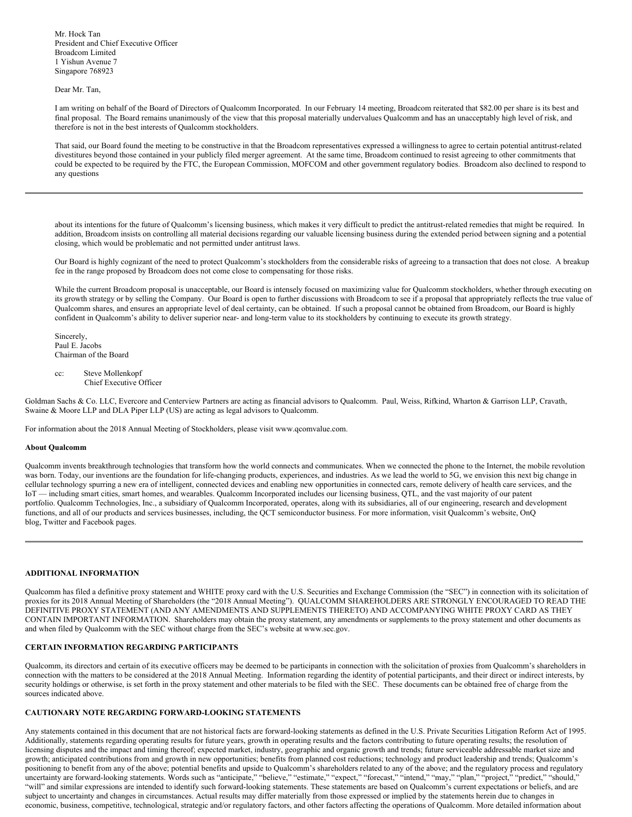Mr. Hock Tan President and Chief Executive Officer Broadcom Limited 1 Yishun Avenue 7 Singapore 768923

Dear Mr. Tan,

I am writing on behalf of the Board of Directors of Qualcomm Incorporated. In our February 14 meeting, Broadcom reiterated that \$82.00 per share is its best and final proposal. The Board remains unanimously of the view that this proposal materially undervalues Qualcomm and has an unacceptably high level of risk, and therefore is not in the best interests of Qualcomm stockholders.

That said, our Board found the meeting to be constructive in that the Broadcom representatives expressed a willingness to agree to certain potential antitrust-related divestitures beyond those contained in your publicly filed merger agreement. At the same time, Broadcom continued to resist agreeing to other commitments that could be expected to be required by the FTC, the European Commission, MOFCOM and other government regulatory bodies. Broadcom also declined to respond to any questions

about its intentions for the future of Qualcomm's licensing business, which makes it very difficult to predict the antitrust-related remedies that might be required. In addition, Broadcom insists on controlling all material decisions regarding our valuable licensing business during the extended period between signing and a potential closing, which would be problematic and not permitted under antitrust laws.

Our Board is highly cognizant of the need to protect Qualcomm's stockholders from the considerable risks of agreeing to a transaction that does not close. A breakup fee in the range proposed by Broadcom does not come close to compensating for those risks.

While the current Broadcom proposal is unacceptable, our Board is intensely focused on maximizing value for Qualcomm stockholders, whether through executing on its growth strategy or by selling the Company. Our Board is open to further discussions with Broadcom to see if a proposal that appropriately reflects the true value of Qualcomm shares, and ensures an appropriate level of deal certainty, can be obtained. If such a proposal cannot be obtained from Broadcom, our Board is highly confident in Qualcomm's ability to deliver superior near- and long-term value to its stockholders by continuing to execute its growth strategy.

Sincerely, Paul E. Jacobs Chairman of the Board

cc: Steve Mollenkopf Chief Executive Officer

Goldman Sachs & Co. LLC, Evercore and Centerview Partners are acting as financial advisors to Qualcomm. Paul, Weiss, Rifkind, Wharton & Garrison LLP, Cravath, Swaine & Moore LLP and DLA Piper LLP (US) are acting as legal advisors to Qualcomm.

For information about the 2018 Annual Meeting of Stockholders, please visit www.qcomvalue.com.

#### **About Qualcomm**

Qualcomm invents breakthrough technologies that transform how the world connects and communicates. When we connected the phone to the Internet, the mobile revolution was born. Today, our inventions are the foundation for life-changing products, experiences, and industries. As we lead the world to 5G, we envision this next big change in cellular technology spurring a new era of intelligent, connected devices and enabling new opportunities in connected cars, remote delivery of health care services, and the IoT — including smart cities, smart homes, and wearables. Qualcomm Incorporated includes our licensing business, QTL, and the vast majority of our patent portfolio. Qualcomm Technologies, Inc., a subsidiary of Qualcomm Incorporated, operates, along with its subsidiaries, all of our engineering, research and development functions, and all of our products and services businesses, including, the QCT semiconductor business. For more information, visit Qualcomm's website, OnQ blog, Twitter and Facebook pages.

#### **ADDITIONAL INFORMATION**

Qualcomm has filed a definitive proxy statement and WHITE proxy card with the U.S. Securities and Exchange Commission (the "SEC") in connection with its solicitation of proxies for its 2018 Annual Meeting of Shareholders (the "2018 Annual Meeting"). QUALCOMM SHAREHOLDERS ARE STRONGLY ENCOURAGED TO READ THE DEFINITIVE PROXY STATEMENT (AND ANY AMENDMENTS AND SUPPLEMENTS THERETO) AND ACCOMPANYING WHITE PROXY CARD AS THEY CONTAIN IMPORTANT INFORMATION. Shareholders may obtain the proxy statement, any amendments or supplements to the proxy statement and other documents as and when filed by Qualcomm with the SEC without charge from the SEC's website at www.sec.gov.

#### **CERTAIN INFORMATION REGARDING PARTICIPANTS**

Qualcomm, its directors and certain of its executive officers may be deemed to be participants in connection with the solicitation of proxies from Qualcomm's shareholders in connection with the matters to be considered at the 2018 Annual Meeting. Information regarding the identity of potential participants, and their direct or indirect interests, by security holdings or otherwise, is set forth in the proxy statement and other materials to be filed with the SEC. These documents can be obtained free of charge from the sources indicated above.

#### **CAUTIONARY NOTE REGARDING FORWARD-LOOKING STATEMENTS**

Any statements contained in this document that are not historical facts are forward-looking statements as defined in the U.S. Private Securities Litigation Reform Act of 1995. Additionally, statements regarding operating results for future years, growth in operating results and the factors contributing to future operating results; the resolution of licensing disputes and the impact and timing thereof; expected market, industry, geographic and organic growth and trends; future serviceable addressable market size and growth; anticipated contributions from and growth in new opportunities; benefits from planned cost reductions; technology and product leadership and trends; Qualcomm's positioning to benefit from any of the above; potential benefits and upside to Qualcomm's shareholders related to any of the above; and the regulatory process and regulatory uncertainty are forward-looking statements. Words such as "anticipate," "believe," "estimate," "expect," "forecast," "intend," "may," "plan," "project," "predict," "should," "will" and similar expressions are intended to identify such forward-looking statements. These statements are based on Qualcomm's current expectations or beliefs, and are subject to uncertainty and changes in circumstances. Actual results may differ materially from those expressed or implied by the statements herein due to changes in economic, business, competitive, technological, strategic and/or regulatory factors, and other factors affecting the operations of Qualcomm. More detailed information about